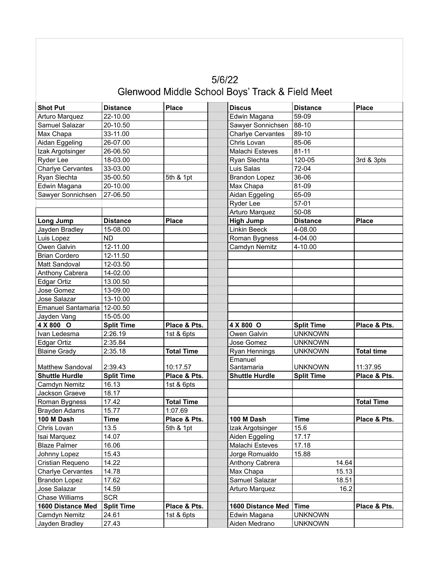| 5/6/22                                          |
|-------------------------------------------------|
| Glenwood Middle School Boys' Track & Field Meet |

| <b>Shot Put</b>                     | <b>Distance</b>   | <b>Place</b>      | <b>Discus</b>         | <b>Distance</b>   | <b>Place</b>      |
|-------------------------------------|-------------------|-------------------|-----------------------|-------------------|-------------------|
| Arturo Marquez                      | 22-10.00          |                   | Edwin Magana          | 59-09             |                   |
| Samuel Salazar                      | 20-10.50          |                   | Sawyer Sonnichsen     | 88-10             |                   |
| Max Chapa                           | 33-11.00          |                   | Charlye Cervantes     | 89-10             |                   |
| Aidan Eggeling                      | 26-07.00          |                   | Chris Lovan           | 85-06             |                   |
| Izak Argotsinger                    | 26-06.50          |                   | Malachi Esteves       | $81 - 11$         |                   |
| Ryder Lee                           | 18-03.00          |                   | Ryan Slechta          | 120-05            | 3rd & 3pts        |
| <b>Charlye Cervantes</b>            | 33-03.00          |                   | Luis Salas            | 72-04             |                   |
| Ryan Slechta                        | 35-00.50          | 5th & 1pt         | <b>Brandon Lopez</b>  | 36-06             |                   |
| Edwin Magana                        | 20-10.00          |                   | Max Chapa             | 81-09             |                   |
| Sawyer Sonnichsen                   | 27-06.50          |                   | Aidan Eggeling        | 65-09             |                   |
|                                     |                   |                   | Ryder Lee             | 57-01             |                   |
|                                     |                   |                   | Arturo Marquez        | 50-08             |                   |
| <b>Long Jump</b>                    | <b>Distance</b>   | <b>Place</b>      | <b>High Jump</b>      | <b>Distance</b>   | <b>Place</b>      |
| Jayden Bradley                      | 15-08.00          |                   | Linkin Beeck          | 4-08.00           |                   |
| Luis Lopez                          | <b>ND</b>         |                   | Roman Bygness         | 4-04.00           |                   |
| Owen Galvin                         | 12-11.00          |                   | Camdyn Nemitz         | 4-10.00           |                   |
| <b>Brian Cordero</b>                | 12-11.50          |                   |                       |                   |                   |
| Matt Sandoval                       | 12-03.50          |                   |                       |                   |                   |
| Anthony Cabrera                     | 14-02.00          |                   |                       |                   |                   |
| Edgar Ortiz                         | 13.00.50          |                   |                       |                   |                   |
| Jose Gomez                          | 13-09.00          |                   |                       |                   |                   |
| Jose Salazar                        | 13-10.00          |                   |                       |                   |                   |
| Emanuel Santamaria                  | 12-00.50          |                   |                       |                   |                   |
| Jayden Vang                         | 15-05.00          |                   |                       |                   |                   |
| 4 X 800 O                           | <b>Split Time</b> | Place & Pts.      | 4 X 800 O             | <b>Split Time</b> | Place & Pts.      |
| Ivan Ledesma                        | 2:26.19           | 1st & 6pts        | Owen Galvin           | <b>UNKNOWN</b>    |                   |
| Edgar Ortiz                         | 2:35.84           |                   | Jose Gomez            | <b>UNKNOWN</b>    |                   |
| <b>Blaine Grady</b>                 | 2:35.18           | <b>Total Time</b> | Ryan Hennings         | <b>UNKNOWN</b>    | <b>Total time</b> |
| <b>Matthew Sandoval</b>             | 2:39.43           | 10:17.57          | Emanuel<br>Santamaria | <b>UNKNOWN</b>    | 11:37.95          |
| <b>Shuttle Hurdle</b>               | <b>Split Time</b> | Place & Pts.      | <b>Shuttle Hurdle</b> | <b>Split Time</b> | Place & Pts.      |
| Camdyn Nemitz                       | 16.13             | 1st & 6pts        |                       |                   |                   |
| Jackson Graeve                      | 18.17             |                   |                       |                   |                   |
| Roman Bygness                       | 17.42             | <b>Total Time</b> |                       |                   | <b>Total Time</b> |
| Brayden Adams                       | 15.77             | 1:07.69           |                       |                   |                   |
| 100 M Dash                          | <b>Time</b>       | Place & Pts.      | 100 M Dash            | <b>Time</b>       | Place & Pts.      |
| Chris Lovan                         | 13.5              | 5th & 1pt         | Izak Argotsinger      | 15.6              |                   |
| Isai Marquez                        | 14.07             |                   | Aiden Eggeling        | 17.17             |                   |
| <b>Blaze Palmer</b>                 | 16.06             |                   | Malachi Esteves       | 17.18             |                   |
| Johnny Lopez                        | 15.43             |                   | Jorge Romualdo        | 15.88             |                   |
| Cristian Requeno                    |                   |                   | Anthony Cabrera       | 14.64             |                   |
| <b>Charlye Cervantes</b>            |                   |                   |                       |                   |                   |
| <b>Brandon Lopez</b>                | 14.22             |                   |                       |                   |                   |
|                                     | 14.78<br>17.62    |                   | Max Chapa             | 15.13<br>18.51    |                   |
|                                     | 14.59             |                   | Samuel Salazar        | 16.2              |                   |
| Jose Salazar                        | <b>SCR</b>        |                   | Arturo Marquez        |                   |                   |
| Chase Williams<br>1600 Distance Med | <b>Split Time</b> | Place & Pts.      | 1600 Distance Med     | <b>Time</b>       | Place & Pts.      |
| Camdyn Nemitz                       | 24.61             | 1st & 6pts        | Edwin Magana          | <b>UNKNOWN</b>    |                   |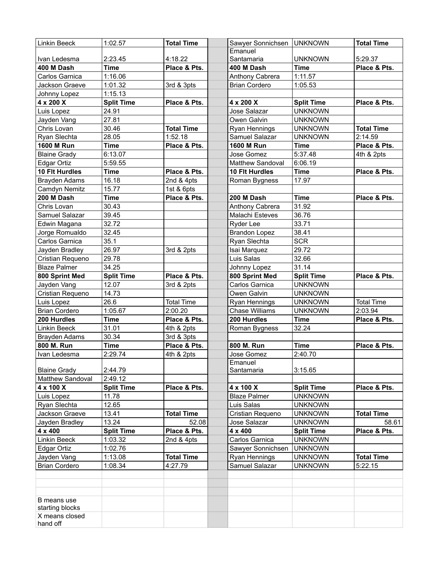| <b>Linkin Beeck</b>            | 1:02.57           | <b>Total Time</b> | Sawyer Sonnichsen     | <b>UNKNOWN</b>    | <b>Total Time</b> |
|--------------------------------|-------------------|-------------------|-----------------------|-------------------|-------------------|
|                                |                   |                   | Emanuel               |                   |                   |
| Ivan Ledesma                   | 2:23.45           | 4:18.22           | Santamaria            | <b>UNKNOWN</b>    | 5:29.37           |
| 400 M Dash                     | <b>Time</b>       | Place & Pts.      | 400 M Dash            | <b>Time</b>       | Place & Pts.      |
| Carlos Garnica                 | 1:16.06           |                   | Anthony Cabrera       | 1:11.57           |                   |
| Jackson Graeve                 | 1:01.32           | 3rd & 3pts        | <b>Brian Cordero</b>  | 1:05.53           |                   |
| Johnny Lopez                   | 1:15.13           |                   |                       |                   |                   |
| 4 x 200 X                      | <b>Split Time</b> | Place & Pts.      | 4 x 200 X             | <b>Split Time</b> | Place & Pts.      |
| Luis Lopez                     | 24.91             |                   | Jose Salazar          | <b>UNKNOWN</b>    |                   |
| Jayden Vang                    | 27.81             |                   | Owen Galvin           | <b>UNKNOWN</b>    |                   |
| Chris Lovan                    | 30.46             | <b>Total Time</b> | Ryan Hennings         | <b>UNKNOWN</b>    | <b>Total Time</b> |
| Ryan Slechta                   | 28.05             | 1:52.18           | Samuel Salazar        | <b>UNKNOWN</b>    | 2:14.59           |
| <b>1600 M Run</b>              | <b>Time</b>       | Place & Pts.      | <b>1600 M Run</b>     | <b>Time</b>       | Place & Pts.      |
| <b>Blaine Grady</b>            | 6:13.07           |                   | Jose Gomez            | 5:37.48           | 4th & 2pts        |
| Edgar Ortiz                    | 5:59.55           |                   | Matthew Sandoval      | 6:06.19           |                   |
| <b>10 Fit Hurdles</b>          | <b>Time</b>       | Place & Pts.      | <b>10 Flt Hurdles</b> | <b>Time</b>       | Place & Pts.      |
| Brayden Adams                  | 16.18             | 2nd & 4pts        | Roman Bygness         | 17.97             |                   |
| Camdyn Nemitz                  | 15.77             | 1st & 6pts        |                       |                   |                   |
| 200 M Dash                     | <b>Time</b>       | Place & Pts.      | 200 M Dash            | <b>Time</b>       | Place & Pts.      |
| Chris Lovan                    | 30.43             |                   | Anthony Cabrera       | 31.92             |                   |
| Samuel Salazar                 | 39.45             |                   | Malachi Esteves       | 36.76             |                   |
| Edwin Magana                   | 32.72             |                   | Ryder Lee             | 33.71             |                   |
| Jorge Romualdo                 | 32.45             |                   | <b>Brandon Lopez</b>  | 38.41             |                   |
| Carlos Garnica                 | 35.1              |                   | Ryan Slechta          | <b>SCR</b>        |                   |
| Jayden Bradley                 | 26.97             | 3rd & 2pts        | Isai Marquez          | 29.72             |                   |
| Cristian Requeno               | 29.78             |                   | Luis Salas            | 32.66             |                   |
| <b>Blaze Palmer</b>            | 34.25             |                   | Johnny Lopez          | 31.14             |                   |
| 800 Sprint Med                 | <b>Split Time</b> | Place & Pts.      | 800 Sprint Med        | <b>Split Time</b> | Place & Pts.      |
| Jayden Vang                    | 12.07             | 3rd & 2pts        | Carlos Garnica        | <b>UNKNOWN</b>    |                   |
| Cristian Requeno               | 14.73             |                   | Owen Galvin           | <b>UNKNOWN</b>    |                   |
| Luis Lopez                     | 26.6              | <b>Total Time</b> | Ryan Hennings         | <b>UNKNOWN</b>    | <b>Total Time</b> |
| <b>Brian Cordero</b>           | 1:05.67           | 2:00.20           | <b>Chase Williams</b> | <b>UNKNOWN</b>    | 2:03.94           |
| 200 Hurdles                    | <b>Time</b>       | Place & Pts.      | 200 Hurdles           | <b>Time</b>       | Place & Pts.      |
| <b>Linkin Beeck</b>            | 31.01             | 4th & 2pts        | Roman Bygness         | 32.24             |                   |
| <b>Brayden Adams</b>           | 30.34             | 3rd & 3pts        |                       |                   |                   |
| 800 M. Run                     | Time              | Place & Pts.      | 800 M. Run            | <b>Time</b>       | Place & Pts.      |
| Ivan Ledesma                   | 2:29.74           | 4th & 2pts        | Jose Gomez            | 2:40.70           |                   |
|                                |                   |                   | Emanuel               |                   |                   |
| <b>Blaine Grady</b>            | 2:44.79           |                   | Santamaria            | 3:15.65           |                   |
| <b>Matthew Sandoval</b>        | 2:49.12           |                   |                       |                   |                   |
| 4 x 100 X                      | <b>Split Time</b> | Place & Pts.      | 4 x 100 X             | <b>Split Time</b> | Place & Pts.      |
| Luis Lopez                     | 11.78             |                   | <b>Blaze Palmer</b>   | <b>UNKNOWN</b>    |                   |
| Ryan Slechta                   | 12.65             |                   | Luis Salas            | <b>UNKNOWN</b>    |                   |
| Jackson Graeve                 | 13.41             | <b>Total Time</b> | Cristian Requeno      | <b>UNKNOWN</b>    | <b>Total Time</b> |
| Jayden Bradley                 | 13.24             | 52.08             | Jose Salazar          | <b>UNKNOWN</b>    | 58.61             |
| 4 x 400                        | <b>Split Time</b> | Place & Pts.      | 4 x 400               | <b>Split Time</b> | Place & Pts.      |
| Linkin Beeck                   | 1:03.32           | 2nd & 4pts        | Carlos Garnica        | <b>UNKNOWN</b>    |                   |
| Edgar Ortiz                    | 1:02.76           |                   | Sawyer Sonnichsen     | <b>UNKNOWN</b>    |                   |
| Jayden Vang                    | 1:13.08           | <b>Total Time</b> | Ryan Hennings         | <b>UNKNOWN</b>    | <b>Total Time</b> |
| <b>Brian Cordero</b>           | 1:08.34           | 4:27.79           | Samuel Salazar        | <b>UNKNOWN</b>    | 5:22.15           |
|                                |                   |                   |                       |                   |                   |
|                                |                   |                   |                       |                   |                   |
|                                |                   |                   |                       |                   |                   |
| B means use<br>starting blocks |                   |                   |                       |                   |                   |
| X means closed                 |                   |                   |                       |                   |                   |
| hand off                       |                   |                   |                       |                   |                   |